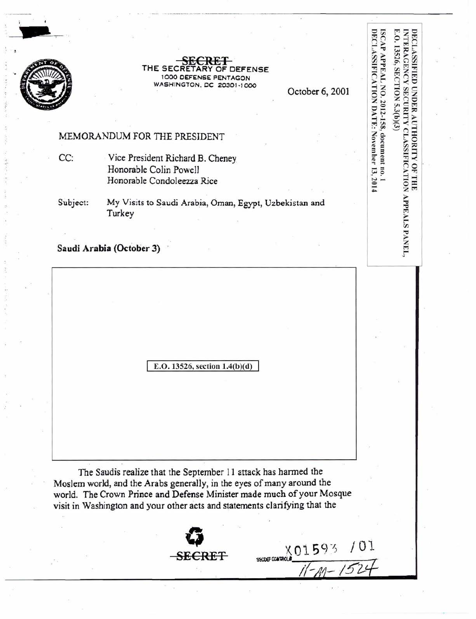

**SECRET** THE SECRETARY OF DEFENSE 1000 DEFENSE PENTAGON WASHINGTON, DC 20301-1000

October 6, 2001

ISCAP APPEAL NO. 2012-158, document no. 1<br>DECLASSIFICATION DATE: November 13, 2014

E.O. 13526, SECTION 5.3(b)(3)

INTERAGENCY SECURITY CLASSIFICATION APPEALS PANEL,

DECLASSIFIED UNDER AUTHORITY OF THE

//-A1- *!52-Z/*

·····-----···-· .......... ··------ - -- --·-·--------------- -

#### MEMORANDUM FOR THE PRESIDENT

CC: Vice President Richard B. Cheney Honorable Colin Powell Honorable Condoleezza Rice

Subject: My Visits to Saudi Arabia, Oman, Egypt, Uzbekistan and Turkey

## Saudi Arabia (October 3)

E.O. 13526, section 1.4(b)(d)

The Saudis realize that the September 11 attack has harmed the Moslem world, and the Arabs generally, in the eyes of many around the world. The Crown Prince and Defense Minister made much of your Mosque visit in Washington and your other acts and statements clarifying that the

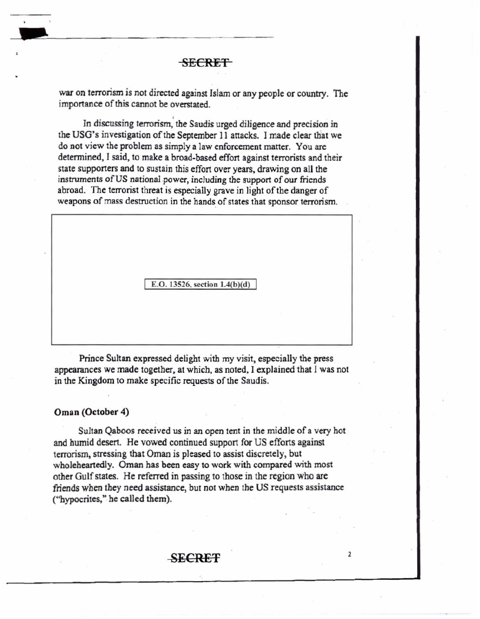~-<del>-----------------------</del>

war on terrorism is not directed agajnst Islam or any people or country. The importance of this cannot be overstated.

In discussing terrorism, the Saudis urged diligence and precision in the USG's investigation of the September 11 attacks. I made clear that we do not view the problem as simply a law enforcement matter. You are determjned, I said, to make a broad-based effort against terrorists and their state supporters and to sustain this effort over years, drawing on all the instruments of US national power, including the support of our friends abroad. The terrorist threat is especially grave in light of the danger of weapons of mass destruction in the hands of states that sponsor terrorism.

E.O . 13526, section 1.4(b)(d)

Prince Sultan expressed delight with my visit, especially the press appearances we made together, at which, as noted, I explained that I was not in the Kingdom to make specific requests of the Saudis.

#### Oman (October 4)

Sultan Qaboos received us in an open tent in the middle of a very hot and humid desert. He vowed continued support for US efforts against terrorism, stressing that Oman is pleased to assist discretely, but wholeheartedly. Oman has been easy to work with compared with most other Gulfstates. He referred in passing to those in the region who are friends when they need assistance, but not when the US requests assistance ("hypocrites," he called them).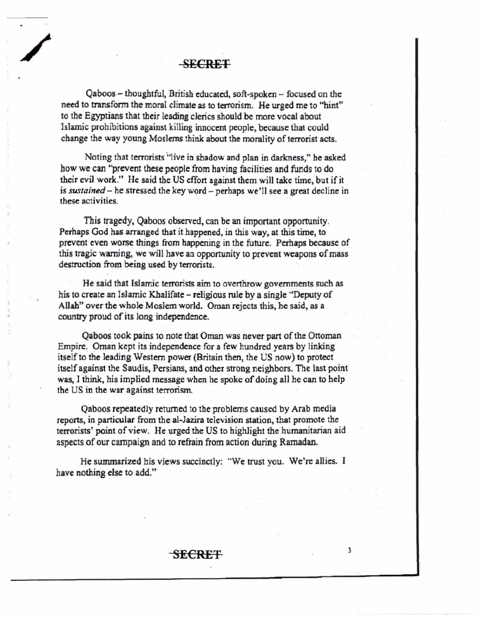# / SECRET

Qaboos - thoughtful, British educated, soft-spoken - focused on the need to transform the moral climate as to terrorism. He urged me to "hint" to the Egyptians that their leading clerics should be more vocal about Islamic prohibitions against killing innocent people, because that could change the way young Moslems think about the morality of terrorist acts.

Noting that terrorists "live in shadow and plan in darkness," he asked how we can "prevent these people from having facilities and funds to do their evil work." He said the US effort against them will take time, but if it is *sustained* - he stressed the key word - perhaps we'll see a great decline in these activities .

This tragedy, Qaboos observed, can be an important opportunity. Perhaps God has arranged that it happened, in this way, at this time, to prevent even worse things from happening in the future. Perhaps because of this tragic warning, we will have an opportunity to prevent weapons of mass destruction from being used by terrorists.

He said that Islamic terrorists aim to overthrow governments such as his to create an Islamic Khalifate - religious rule by a single "Deputy of Allah" over the whole Moslem world. Oman rejects this, he said, as a country proud of its long independence.

Qaboos took pains to note that Oman was never part of the Ottoman Empire. Oman kept its independence for a few hundred years by linking itself to the leading Western power (Britain then, the US now) to protect itself against the Saudis, Persians, and other strong neighbors. The last point was, I think, his implied message when he spoke of doing all he can to help the US in the war against terrorism.

Qaboos repeatedly returned to the problems caused by Arab media reports, in particular from the al-Jazira television station, that promote the terrorists' point of view. He urged the US to highlight the humanitarian aid aspects of our campaign and to refrain from action during Ramadan.

He summarized his views succinctly: "We trust you. We're allies. I have nothing else to add."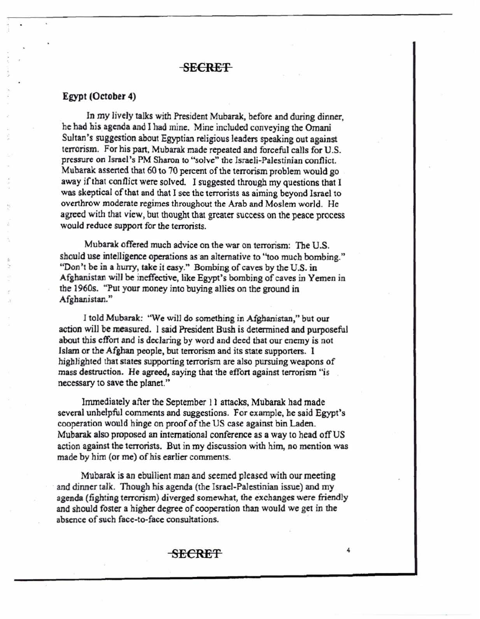#### Egypt (October 4)

In my lively talks with President Mubarak, before and during dinner, he had his agenda and I had mine. Mine included conveying the Omani Sultan's suggestion about Egyptian religious leaders speaking out against terrorism. For his part, Mubarak made repeated and forceful calls for U.S. pressure on Israel's PM Sharon to "solve" the Israeli-Palestinian conflict. Mubarak asserted that 60 to 70 percent of the terrorism problem would go away if that conflict were solved. I suggested through my questions that I was skeptical of that and that I see the terrorists as aiming beyond Israel to overthrow moderate regimes throughout the Arab and Moslem world. He agreed with that view, but thought that greater success on the peace process would reduce support for the terrorists.

Mubarak offered much advice on the war on terrorism: The U.S. should use intelligence operations as an alternative to "too much bombing." "Don't be in a hurry, take it easy." Bombing of caves by the U.S. in Afghanistan will be ineffective, like Egypt's bombing of caves in Yemen in the 1960s. "Put your money into buying allies on the ground in Afghanistan."

1 told Mubarak: "We wilJ do something in Afghanistan," but our action will be measured. I said President Bush is determined and purposeful about this effort and is declaring by word and deed that our enemy is not Islam or the Afghan people, but terrorism and its state supporters. I highlighted that states supporting terrorism are also pursuing weapons of mass destruction. He agreed, saying that the effort against terrorism "is necessary to save the planet."

lmmediately after the September 11 attacks, Mubarak had made several unhelpful comments and suggestions. For example, he said Egypt's cooperation would hinge on proof of the US case against bin Laden. Mubarak also proposed an international conference as a way to head offUS action against the terrorists. But in my discussion with him, no mention was made by him (or me) of his earlier comments.

Mubarak is an ebullient man and seemed pleased with our meeting and dinner talk. Though his agenda (the Israel-PaJestinian issue) and my agenda (fighting terrorism) diverged somewhat, the exchanges were friendly and should foster a higher degree of cooperation than would we get in the absence of such face-to-face consultations.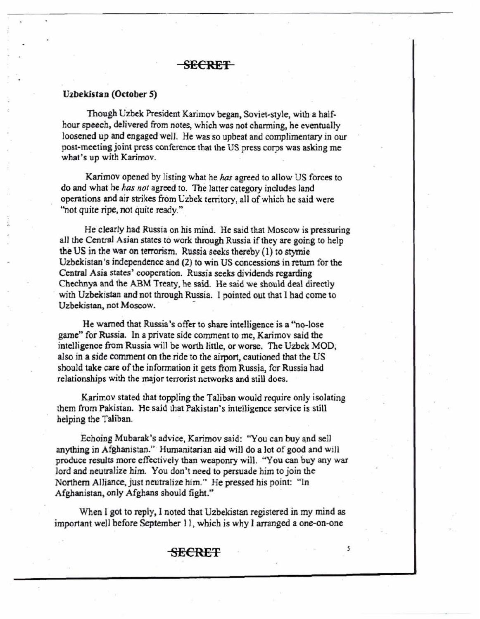#### Uzbekistan (October 5)

Though Uzbek President Karimov began, Soviet-style, with a halfhour speech, delivered from notes, which was not charming, he eventually loosened up and engaged well. He was so upbeat and complimentary in our post-meeting joint press conference that the US press corps was asklng me what 's up with Karimov.

Karimov opened by listing what he *has* agreed to allow US forces to do and what he *has not* agreed to. The latter category includes land operations and air strikes from Uzbek territory, all ofwhich he said were "not quite ripe, not quite ready."

He clearly had Russia on his mind. He said that Moscow is pressuring all the Central Asian states to work through Russia ifthey are going to help the US in the war on terrorism. Russia seeks thereby (1) to stymie Uzbekistan's independence and (2) to win US concessions in return for the CentraJ Asia states' cooperation. Russia seeks dividends regarding Chechnya and the ABM Treaty, he said. He said we should deal directly with Uzbekistan and not through Russia. I pointed out that I had come to Uzbekistan, not Moscow.

He warned that Russia's offer to share intelligence is a "no-lose game" for Russia. In a private side comment to me, Karimov said the intelligence from Russia will be worth little, or worse. The Uzbek MOD, also in a side comment on the ride to the airport, cautioned that the US should take care of the information it gets from Russia, for Russia had relationships with the major terrorist networks and still does.

Karimov stated that toppling the Taliban would require only isolating them from Pakistan. He said that Pakistan's intelligence service is still helping the Taliban.

Echoing Mubarak's advice, Karimov said: "You can buy and se11 anything in Afghanistan." Humanitarian aid will do a lot of good and will produce results more effectively than weaponry will. "You can buy any war lord and neutralize him. You don't need to persuade him to join the Northern Alliance, just neutralize him." He pressed his point: "In Afghanistan, only Afghans should fight."

When I got to reply, I noted that Uzbekistan registered in my mind as important well before September 11, which is why I arranged a one-on-one

## SECRET *<sup>s</sup>*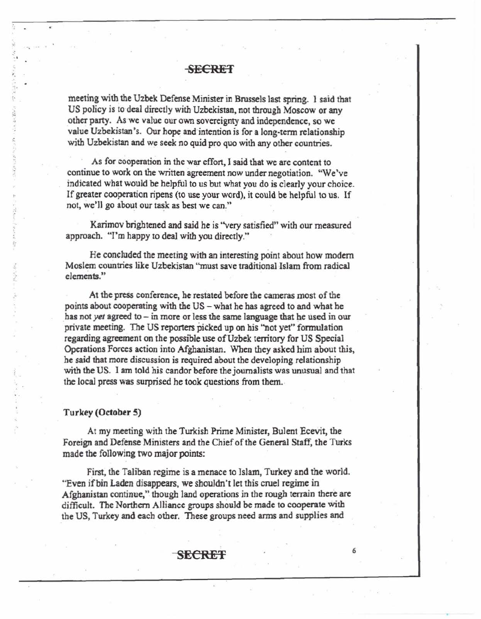meeting with the Uzbek Defense Minister in Brussels last spring. 1 said that US policy is to deal directly with Uzbekistan, not through Moscow or any other party. As we value our own sovereignty and independence, so we value Uzbekistan's. Our hope and intention is for a long-term relationship with Uzbekistan and we seek no quid pro quo with any other countries.

As for cooperation in the war effort, 1 said that we are content to continue to work on the written agreement now under negotiation. "We've indicated what would be helpful to us but what you do is clearly your choice . Ifgreater cooperation ripens (to use your word), it could be helpful to us. If not, we'll go about our task as best we can."

Karimov brightened and said he is "very satisfied" with our measured approach. "I'm happy to deal with you directly."

He concluded the meeting with an interesting point about how modern Moslem countries like Uzbekistan "must save traditional-Islam from radical elements."

At the press conference, he restated before the cameras most of the points about cooperating with the US - what he has agreed to and what he has not *yet* agreed to - in more or less the same language that he used in our private meeting. The US reporters picked up on his '"not yet" fonnularion regarding agreement on the possible use of Uzbek territory for US Special Operations Forces action into Afghanistan. When they asked him about this, he said that more discussion is required about the developing relationship with the US. I am told his candor before the journalists was unusual and that the local press was surprised he took questions from them.

#### Turkey (October 5)

-.

.

At my meeting with the Turkish Prime Minister, Bulent Ecevit, the Foreign and Defense Ministers and the Chief of the General Staff, the Turks made the following two major points:

First, the Taliban regime is a menace to Islam, Turkey and the world. "Even if bin Laden disappears, we shouldn't let this cruel regime in Afghanistan continue," though land operations in the rough terrain there are difficult. The Northern AJliance groups should be made to cooperate with the US, Turkey and each other. These groups need arms and supplies and